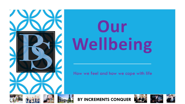

# **Our Wellbeing**

How we feel and how we cope with life







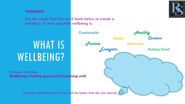#### **THINKING:**

Use the words from the word bank below to create a definition of what you think wellbeing is.

WHAT IS WELLBEING?

Dictionary definition: Wellbeing is feeling good and functioning well.

Add your definition here (it may well be better than the one above!)  $($ 



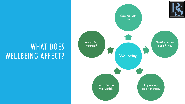# WHAT DOES

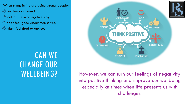- When things in life are going wrong, people:  $4$  feel low or stressed.
- $\frac{1}{2}$  look at life in a negative way.  $\cancel{4}$  don't feel good about themselves.
- $\sqrt{2}$  might feel tired or anxious

### CAN WE CHANGE OUR WELLBEING?



However, we can turn our feelings of negativity into positive thinking and improve our wellbeing especially at times when life presents us with challenges.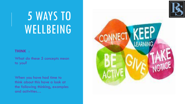

# 5 WAYS TO WELLBEING

#### **THINK** :

What do these 5 concepts mean to you?

When you have had time to think about this have a look at the following thinking, examples and activities…

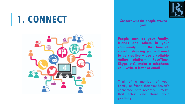## **1. CONNECT** *Connect with the people around*





*you:*

**People such as your family, friends and others in your community – at this time of social distancing you will need to be creative – use a suitable online platform (FaceTime, Skype etc), make a telephone call, write a letter or email**

Think of a member of your family or friend that you haven't connected with recently – make that effort and share your positivity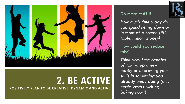

# **2. BE ACTIVE**

**POSITIVELY PLAN TO BE CREATIVE, DYNAMIC AND ACTIVE** 

#### Do more stuff !!

*How much time a day do you spend sitting down or in front of a screen (PC, tablet, smartphone)?*

How could you reduce this?

*Think about the benefits of taking up a new hobby or improving your skills in something you already enjoy doing (art, music, crafts, writing baking sport).* 

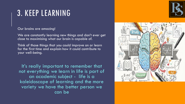### 3. KEEP LEARNING

Our brains are amazing!

We are constantly learning new things and don't ever get close to maximising what our brain is capable of.

Think of those things that you could improve on or learn for the first time and explain how it could contribute to your well-being.

It's really important to remember that not everything we learn in life is part of an academic subject - life is a kaleidoscope of learning and the more variety we have the better person we can be



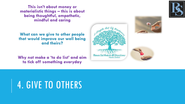**This isn't about money or materialistic things – this is about being thoughtful, empathetic, mindful and caring**

**What can we give to other people that would improve our well being and theirs?**

**Why not make a 'to do list' and aim to tick off something everyday**





## 4. GIVE TO OTHERS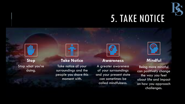

## 5. TAKE NOTICE



**Stop** Stop what you're doing.



#### **Take Notice**

Take notice of your surroundings and the people you share this moment with.



#### **Awareness**

A greater awareness of your surroundings and your present state can sometimes be called mindfulness.



#### **Mindful**

Being more mindful can positively change the way you feel about life and impact on how you approach challenges.